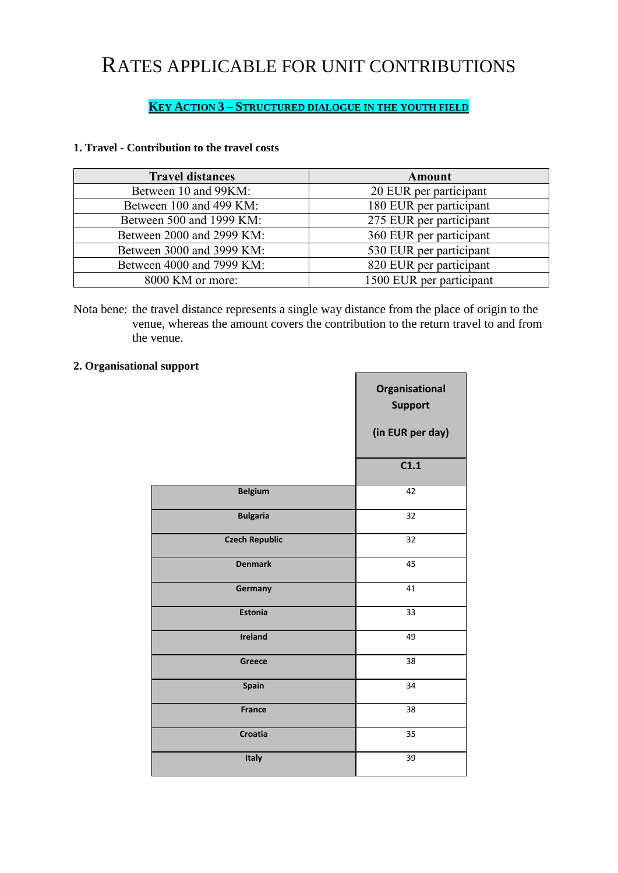## RATES APPLICABLE FOR UNIT CONTRIBUTIONS

## **KEY ACTION 3 – STRUCTURED DIALOGUE IN THE YOUTH FIELD**

## **1. Travel - Contribution to the travel costs**

| <b>Travel distances</b>   | <b>Amount</b>            |
|---------------------------|--------------------------|
| Between 10 and 99KM:      | 20 EUR per participant   |
| Between 100 and 499 KM:   | 180 EUR per participant  |
| Between 500 and 1999 KM:  | 275 EUR per participant  |
| Between 2000 and 2999 KM: | 360 EUR per participant  |
| Between 3000 and 3999 KM: | 530 EUR per participant  |
| Between 4000 and 7999 KM: | 820 EUR per participant  |
| 8000 KM or more:          | 1500 EUR per participant |

Nota bene: the travel distance represents a single way distance from the place of origin to the venue, whereas the amount covers the contribution to the return travel to and from the venue.

 $\blacksquare$ 

## **2. Organisational support**

|                       | Organisational<br><b>Support</b><br>(in EUR per day) |
|-----------------------|------------------------------------------------------|
|                       | C1.1                                                 |
| <b>Belgium</b>        | 42                                                   |
| <b>Bulgaria</b>       | 32                                                   |
| <b>Czech Republic</b> | 32                                                   |
| <b>Denmark</b>        | 45                                                   |
| Germany               | 41                                                   |
| <b>Estonia</b>        | 33                                                   |
| <b>Ireland</b>        | 49                                                   |
| Greece                | 38                                                   |
| Spain                 | 34                                                   |
| <b>France</b>         | 38                                                   |
| Croatia               | 35                                                   |
| Italy                 | 39                                                   |
|                       |                                                      |